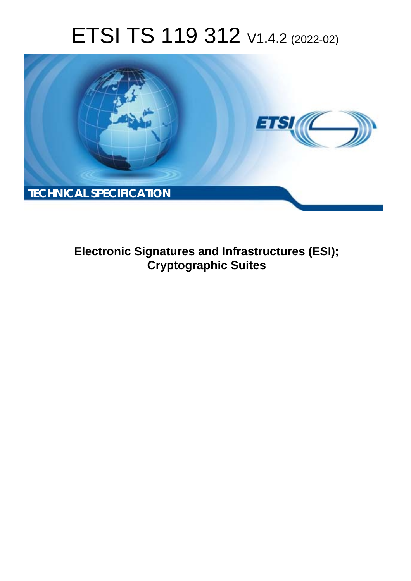# ETSI TS 119 312 V1.4.2 (2022-02)



**Electronic Signatures and Infrastructures (ESI); Cryptographic Suites**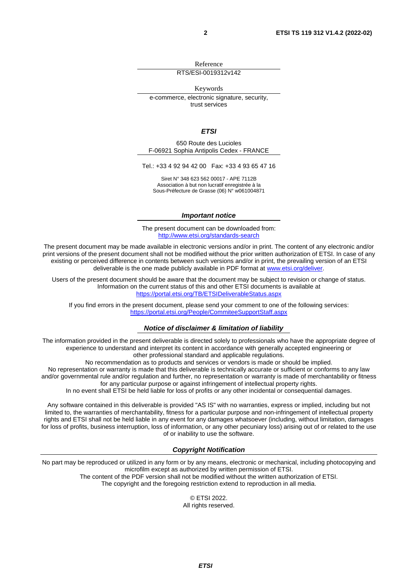Reference

#### RTS/ESI-0019312v142

Keywords

e-commerce, electronic signature, security, trust services

#### *ETSI*

650 Route des Lucioles F-06921 Sophia Antipolis Cedex - FRANCE

Tel.: +33 4 92 94 42 00 Fax: +33 4 93 65 47 16

Siret N° 348 623 562 00017 - APE 7112B Association à but non lucratif enregistrée à la Sous-Préfecture de Grasse (06) N° w061004871

#### *Important notice*

The present document can be downloaded from: <http://www.etsi.org/standards-search>

The present document may be made available in electronic versions and/or in print. The content of any electronic and/or print versions of the present document shall not be modified without the prior written authorization of ETSI. In case of any existing or perceived difference in contents between such versions and/or in print, the prevailing version of an ETSI deliverable is the one made publicly available in PDF format at [www.etsi.org/deliver](http://www.etsi.org/deliver).

Users of the present document should be aware that the document may be subject to revision or change of status. Information on the current status of this and other ETSI documents is available at <https://portal.etsi.org/TB/ETSIDeliverableStatus.aspx>

If you find errors in the present document, please send your comment to one of the following services: <https://portal.etsi.org/People/CommiteeSupportStaff.aspx>

#### *Notice of disclaimer & limitation of liability*

The information provided in the present deliverable is directed solely to professionals who have the appropriate degree of experience to understand and interpret its content in accordance with generally accepted engineering or other professional standard and applicable regulations.

No recommendation as to products and services or vendors is made or should be implied.

No representation or warranty is made that this deliverable is technically accurate or sufficient or conforms to any law and/or governmental rule and/or regulation and further, no representation or warranty is made of merchantability or fitness for any particular purpose or against infringement of intellectual property rights.

In no event shall ETSI be held liable for loss of profits or any other incidental or consequential damages.

Any software contained in this deliverable is provided "AS IS" with no warranties, express or implied, including but not limited to, the warranties of merchantability, fitness for a particular purpose and non-infringement of intellectual property rights and ETSI shall not be held liable in any event for any damages whatsoever (including, without limitation, damages for loss of profits, business interruption, loss of information, or any other pecuniary loss) arising out of or related to the use of or inability to use the software.

#### *Copyright Notification*

No part may be reproduced or utilized in any form or by any means, electronic or mechanical, including photocopying and microfilm except as authorized by written permission of ETSI. The content of the PDF version shall not be modified without the written authorization of ETSI.

The copyright and the foregoing restriction extend to reproduction in all media.

© ETSI 2022. All rights reserved.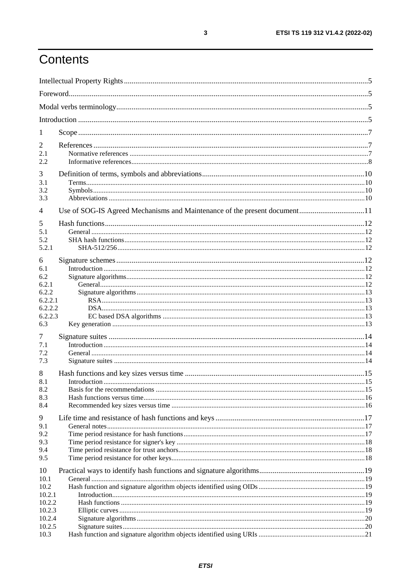## Contents

| $\mathbf{I}$     |                                                                           |  |
|------------------|---------------------------------------------------------------------------|--|
| 2                |                                                                           |  |
| 2.1              |                                                                           |  |
| 2.2              |                                                                           |  |
| 3<br>3.1         |                                                                           |  |
| 3.2              |                                                                           |  |
| 3.3              |                                                                           |  |
| 4                | Use of SOG-IS Agreed Mechanisms and Maintenance of the present document11 |  |
| 5                |                                                                           |  |
| 5.1              |                                                                           |  |
| 5.2              |                                                                           |  |
| 5.2.1            |                                                                           |  |
| 6<br>6.1         |                                                                           |  |
| 6.2              |                                                                           |  |
| 6.2.1            |                                                                           |  |
| 6.2.2            |                                                                           |  |
| 6.2.2.1          |                                                                           |  |
| 6.2.2.2          |                                                                           |  |
| 6.2.2.3<br>6.3   |                                                                           |  |
| 7                |                                                                           |  |
| 7.1              |                                                                           |  |
| 7.2              |                                                                           |  |
| 7.3              |                                                                           |  |
| 8                |                                                                           |  |
| 8.1              |                                                                           |  |
| 8.2              |                                                                           |  |
| 8.3<br>8.4       |                                                                           |  |
|                  |                                                                           |  |
| 9<br>9.1         |                                                                           |  |
| 9.2              |                                                                           |  |
| 9.3              |                                                                           |  |
| 9.4              |                                                                           |  |
| 9.5              |                                                                           |  |
| 10               |                                                                           |  |
| 10.1             |                                                                           |  |
| 10.2             |                                                                           |  |
| 10.2.1<br>10.2.2 |                                                                           |  |
| 10.2.3           |                                                                           |  |
| 10.2.4           |                                                                           |  |
| 10.2.5           |                                                                           |  |
| 10.3             |                                                                           |  |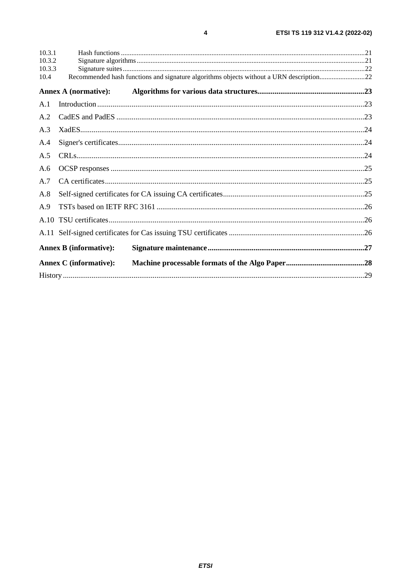| 10.3.1           |                               |                                                                                         |  |
|------------------|-------------------------------|-----------------------------------------------------------------------------------------|--|
| 10.3.2<br>10.3.3 |                               |                                                                                         |  |
| 10.4             |                               | Recommended hash functions and signature algorithms objects without a URN description22 |  |
|                  | <b>Annex A (normative):</b>   |                                                                                         |  |
| A.1              |                               |                                                                                         |  |
| A.2              |                               |                                                                                         |  |
| A.3              |                               |                                                                                         |  |
| A.4              |                               |                                                                                         |  |
| A.5              |                               |                                                                                         |  |
| A.6              |                               |                                                                                         |  |
| A.7              |                               |                                                                                         |  |
| A.8              |                               |                                                                                         |  |
| A.9              |                               |                                                                                         |  |
|                  |                               |                                                                                         |  |
|                  |                               |                                                                                         |  |
|                  | <b>Annex B</b> (informative): |                                                                                         |  |
|                  | <b>Annex C</b> (informative): |                                                                                         |  |
|                  |                               |                                                                                         |  |

 $\overline{\mathbf{4}}$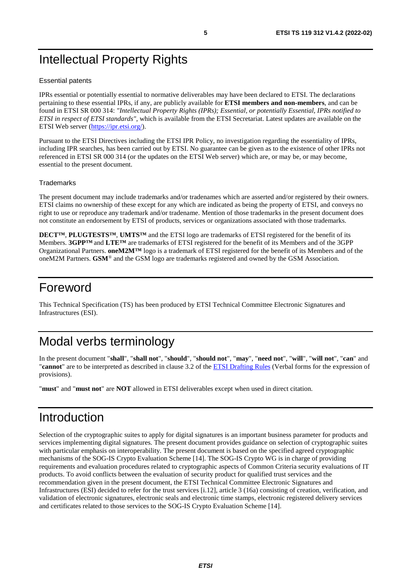## <span id="page-4-0"></span>Intellectual Property Rights

#### Essential patents

IPRs essential or potentially essential to normative deliverables may have been declared to ETSI. The declarations pertaining to these essential IPRs, if any, are publicly available for **ETSI members and non-members**, and can be found in ETSI SR 000 314: *"Intellectual Property Rights (IPRs); Essential, or potentially Essential, IPRs notified to ETSI in respect of ETSI standards"*, which is available from the ETSI Secretariat. Latest updates are available on the ETSI Web server ([https://ipr.etsi.org/\)](https://ipr.etsi.org/).

Pursuant to the ETSI Directives including the ETSI IPR Policy, no investigation regarding the essentiality of IPRs, including IPR searches, has been carried out by ETSI. No guarantee can be given as to the existence of other IPRs not referenced in ETSI SR 000 314 (or the updates on the ETSI Web server) which are, or may be, or may become, essential to the present document.

#### **Trademarks**

The present document may include trademarks and/or tradenames which are asserted and/or registered by their owners. ETSI claims no ownership of these except for any which are indicated as being the property of ETSI, and conveys no right to use or reproduce any trademark and/or tradename. Mention of those trademarks in the present document does not constitute an endorsement by ETSI of products, services or organizations associated with those trademarks.

**DECT™**, **PLUGTESTS™**, **UMTS™** and the ETSI logo are trademarks of ETSI registered for the benefit of its Members. **3GPP™** and **LTE™** are trademarks of ETSI registered for the benefit of its Members and of the 3GPP Organizational Partners. **oneM2M™** logo is a trademark of ETSI registered for the benefit of its Members and of the oneM2M Partners. **GSM**® and the GSM logo are trademarks registered and owned by the GSM Association.

### Foreword

This Technical Specification (TS) has been produced by ETSI Technical Committee Electronic Signatures and Infrastructures (ESI).

## Modal verbs terminology

In the present document "**shall**", "**shall not**", "**should**", "**should not**", "**may**", "**need not**", "**will**", "**will not**", "**can**" and "**cannot**" are to be interpreted as described in clause 3.2 of the [ETSI Drafting Rules](https://portal.etsi.org/Services/editHelp!/Howtostart/ETSIDraftingRules.aspx) (Verbal forms for the expression of provisions).

"**must**" and "**must not**" are **NOT** allowed in ETSI deliverables except when used in direct citation.

### Introduction

Selection of the cryptographic suites to apply for digital signatures is an important business parameter for products and services implementing digital signatures. The present document provides guidance on selection of cryptographic suites with particular emphasis on interoperability. The present document is based on the specified agreed cryptographic mechanisms of the SOG-IS Crypto Evaluation Scheme [\[14](#page-7-0)]. The SOG-IS Crypto WG is in charge of providing requirements and evaluation procedures related to cryptographic aspects of Common Criteria security evaluations of IT products. To avoid conflicts between the evaluation of security product for qualified trust services and the recommendation given in the present document, the ETSI Technical Committee Electronic Signatures and Infrastructures (ESI) decided to refer for the trust services [[i.12](#page-8-0)], article 3 (16a) consisting of creation, verification, and validation of electronic signatures, electronic seals and electronic time stamps, electronic registered delivery services and certificates related to those services to the SOG-IS Crypto Evaluation Scheme [[14\]](#page-7-0).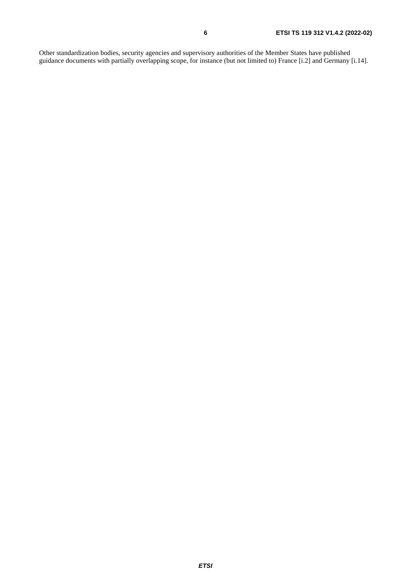Other standardization bodies, security agencies and supervisory authorities of the Member States have published guidance documents with partially overlapping scope, for instance (but not limited to) France [[i.2](#page-7-0)] and Germany [[i.14\]](#page-8-0).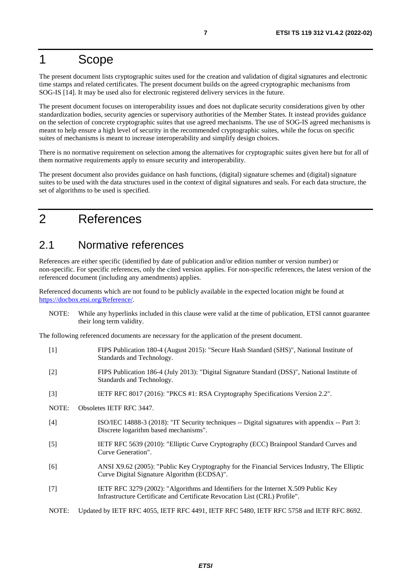## <span id="page-6-0"></span>1 Scope

The present document lists cryptographic suites used for the creation and validation of digital signatures and electronic time stamps and related certificates. The present document builds on the agreed cryptographic mechanisms from SOG-IS [[14\]](#page-7-0). It may be used also for electronic registered delivery services in the future.

The present document focuses on interoperability issues and does not duplicate security considerations given by other standardization bodies, security agencies or supervisory authorities of the Member States. It instead provides guidance on the selection of concrete cryptographic suites that use agreed mechanisms. The use of SOG-IS agreed mechanisms is meant to help ensure a high level of security in the recommended cryptographic suites, while the focus on specific suites of mechanisms is meant to increase interoperability and simplify design choices.

There is no normative requirement on selection among the alternatives for cryptographic suites given here but for all of them normative requirements apply to ensure security and interoperability.

The present document also provides guidance on hash functions, (digital) signature schemes and (digital) signature suites to be used with the data structures used in the context of digital signatures and seals. For each data structure, the set of algorithms to be used is specified.

## 2 References

### 2.1 Normative references

References are either specific (identified by date of publication and/or edition number or version number) or non-specific. For specific references, only the cited version applies. For non-specific references, the latest version of the referenced document (including any amendments) applies.

Referenced documents which are not found to be publicly available in the expected location might be found at <https://docbox.etsi.org/Reference/>.

NOTE: While any hyperlinks included in this clause were valid at the time of publication, ETSI cannot guarantee their long term validity.

The following referenced documents are necessary for the application of the present document.

| [1]               | FIPS Publication 180-4 (August 2015): "Secure Hash Standard (SHS)", National Institute of<br>Standards and Technology.                                            |
|-------------------|-------------------------------------------------------------------------------------------------------------------------------------------------------------------|
| $[2]$             | FIPS Publication 186-4 (July 2013): "Digital Signature Standard (DSS)", National Institute of<br>Standards and Technology.                                        |
| $\lceil 3 \rceil$ | IETF RFC 8017 (2016): "PKCS #1: RSA Cryptography Specifications Version 2.2".                                                                                     |
| NOTE:             | Obsoletes IETF RFC 3447.                                                                                                                                          |
| $[4]$             | ISO/IEC 14888-3 (2018): "IT Security techniques -- Digital signatures with appendix -- Part 3:<br>Discrete logarithm based mechanisms".                           |
| $[5]$             | IETF RFC 5639 (2010): "Elliptic Curve Cryptography (ECC) Brainpool Standard Curves and<br>Curve Generation".                                                      |
| [6]               | ANSI X9.62 (2005): "Public Key Cryptography for the Financial Services Industry, The Elliptic<br>Curve Digital Signature Algorithm (ECDSA)".                      |
| $[7]$             | IETF RFC 3279 (2002): "Algorithms and Identifiers for the Internet X.509 Public Key<br>Infrastructure Certificate and Certificate Revocation List (CRL) Profile". |
| NOTE:             | Updated by IETF RFC 4055, IETF RFC 4491, IETF RFC 5480, IETF RFC 5758 and IETF RFC 8692.                                                                          |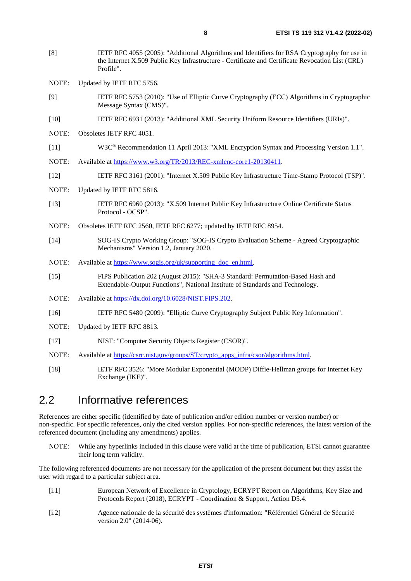- <span id="page-7-0"></span>[8] IETF RFC 4055 (2005): "Additional Algorithms and Identifiers for RSA Cryptography for use in the Internet X.509 Public Key Infrastructure - Certificate and Certificate Revocation List (CRL) Profile".
- NOTE: Updated by IETF RFC 5756.
- [9] IETF RFC 5753 (2010): "Use of Elliptic Curve Cryptography (ECC) Algorithms in Cryptographic Message Syntax (CMS)".
- [10] IETF RFC 6931 (2013): "Additional XML Security Uniform Resource Identifiers (URIs)".
- NOTE: Obsoletes IETF RFC 4051.
- [11] W3C® Recommendation 11 April 2013: "XML Encryption Syntax and Processing Version 1.1".
- NOTE: Available at [https://www.w3.org/TR/2013/REC-xmlenc-core1-20130411.](http://www.w3.org/TR/2013/REC-xmlenc-core1-20130411)
- [12] IETF RFC 3161 (2001): "Internet X.509 Public Key Infrastructure Time-Stamp Protocol (TSP)".
- NOTE: Updated by IETF RFC 5816.
- [13] IETF RFC 6960 (2013): "X.509 Internet Public Key Infrastructure Online Certificate Status Protocol - OCSP".
- NOTE: Obsoletes IETF RFC 2560, IETF RFC 6277; updated by IETF RFC 8954.
- [14] SOG-IS Crypto Working Group: "SOG-IS Crypto Evaluation Scheme Agreed Cryptographic Mechanisms" Version 1.2, January 2020.
- NOTE: Available at [https://www.sogis.org/uk/supporting\\_doc\\_en.html.](https://www.sogis.org/uk/supporting_doc_en.html)
- [15] FIPS Publication 202 (August 2015): "SHA-3 Standard: Permutation-Based Hash and Extendable-Output Functions", National Institute of Standards and Technology.
- NOTE: Available at [https://dx.doi.org/10.6028/NIST.FIPS.202](http://dx.doi.org/10.6028/NIST.FIPS.202).
- [16] IETF RFC 5480 (2009): "Elliptic Curve Cryptography Subject Public Key Information".
- NOTE: Updated by IETF RFC 8813.
- [17] NIST: "Computer Security Objects Register (CSOR)".
- NOTE: Available at [https://csrc.nist.gov/groups/ST/crypto\\_apps\\_infra/csor/algorithms.html.](http://csrc.nist.gov/groups/ST/crypto_apps_infra/csor/algorithms.html)
- [18] IETF RFC 3526: "More Modular Exponential (MODP) Diffie-Hellman groups for Internet Key Exchange (IKE)".

### 2.2 Informative references

References are either specific (identified by date of publication and/or edition number or version number) or non-specific. For specific references, only the cited version applies. For non-specific references, the latest version of the referenced document (including any amendments) applies.

NOTE: While any hyperlinks included in this clause were valid at the time of publication, ETSI cannot guarantee their long term validity.

The following referenced documents are not necessary for the application of the present document but they assist the user with regard to a particular subject area.

- [i.1] European Network of Excellence in Cryptology, ECRYPT Report on Algorithms, Key Size and Protocols Report (2018), ECRYPT - Coordination & Support, Action D5.4.
- [i.2] Agence nationale de la sécurité des systèmes d'information: "Référentiel Général de Sécurité version 2.0" (2014-06).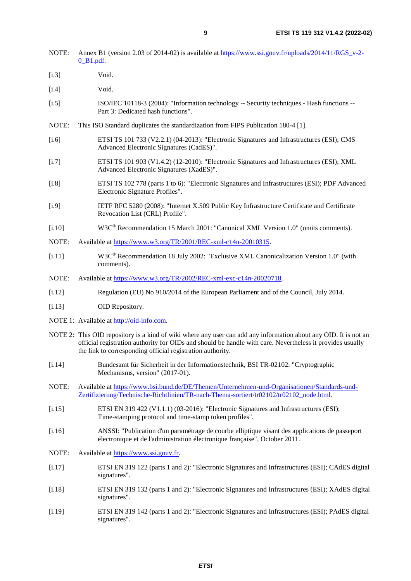<span id="page-8-0"></span>

| NOTE:              | Annex B1 (version 2.03 of 2014-02) is available at https://www.ssi.gouv.fr/uploads/2014/11/RGS v-2-                                   |
|--------------------|---------------------------------------------------------------------------------------------------------------------------------------|
|                    | $0$ B <sub>1</sub> .pdf.                                                                                                              |
| [i.3]              | Void.                                                                                                                                 |
| [i.4]              | Void.                                                                                                                                 |
| $\left[1.5\right]$ | ISO/IEC 10118-3 (2004): "Information technology -- Security techniques - Hash functions --<br>Part 3: Dedicated hash functions".      |
| NOTE:              | This ISO Standard duplicates the standardization from FIPS Publication 180-4 [1].                                                     |
| [i.6]              | ETSI TS 101 733 (V2.2.1) (04-2013): "Electronic Signatures and Infrastructures (ESI); CMS<br>Advanced Electronic Signatures (CadES)". |
| $\left[1.7\right]$ | ETSI TS 101 903 (V1.4.2) (12-2010): "Electronic Signatures and Infrastructures (ESI); XML<br>Advanced Electronic Signatures (XadES)". |

- [i.8] ETSI TS 102 778 (parts 1 to 6): "Electronic Signatures and Infrastructures (ESI); PDF Advanced Electronic Signature Profiles".
- [i.9] IETF RFC 5280 (2008): "Internet X.509 Public Key Infrastructure Certificate and Certificate Revocation List (CRL) Profile".
- [i.10] W3C® Recommendation 15 March 2001: "Canonical XML Version 1.0" (omits comments).
- NOTE: Available at [https://www.w3.org/TR/2001/REC-xml-c14n-20010315](http://www.w3.org/TR/2001/REC-xml-c14n-20010315).
- [i.11] W3C® Recommendation 18 July 2002: "Exclusive XML Canonicalization Version 1.0" (with comments).
- NOTE: Available at <https://www.w3.org/TR/2002/REC-xml-exc-c14n-20020718>.
- [i.12] Regulation (EU) No 910/2014 of the European Parliament and of the Council, July 2014.
- [i.13] OID Repository.

 $[i.3]$ 

 $[i.4]$ 

- NOTE 1: Available at [http://oid-info.com](http://oid-info.com/).
- NOTE 2: This OID repository is a kind of wiki where any user can add any information about any OID. It is not an official registration authority for OIDs and should be handle with care. Nevertheless it provides usually the link to corresponding official registration authority.
- [i.14] Bundesamt für Sicherheit in der Informationstechnik, BSI TR-02102: "Cryptographic Mechanisms, version" (2017-01).
- NOTE: Available at [https://www.bsi.bund.de/DE/Themen/Unternehmen-und-Organisationen/Standards-und-](https://www.bsi.bund.de/DE/Themen/Unternehmen-und-Organisationen/Standards-und-Zertifizierung/Technische-Richtlinien/TR-nach-Thema-sortiert/tr02102/tr02102_node.html)[Zertifizierung/Technische-Richtlinien/TR-nach-Thema-sortiert/tr02102/tr02102\\_node.html.](https://www.bsi.bund.de/DE/Themen/Unternehmen-und-Organisationen/Standards-und-Zertifizierung/Technische-Richtlinien/TR-nach-Thema-sortiert/tr02102/tr02102_node.html)
- [i.15] ETSI EN 319 422 (V1.1.1) (03-2016): "Electronic Signatures and Infrastructures (ESI); Time-stamping protocol and time-stamp token profiles".
- [i.16] ANSSI: "Publication d'un paramétrage de courbe elliptique visant des applications de passeport électronique et de l'administration électronique française", October 2011.
- NOTE: Available at [https://www.ssi.gouv.fr](https://www.ssi.gouv.fr/agence/publication/publication-dun-parametrage-de-courbe-elliptique-visant-des-applications-de-passeport-electronique-et-de-ladministration-electronique-francaise).
- [i.17] ETSI EN 319 122 (parts 1 and 2): "Electronic Signatures and Infrastructures (ESI); CAdES digital signatures".
- [i.18] ETSI EN 319 132 (parts 1 and 2): "Electronic Signatures and Infrastructures (ESI); XAdES digital signatures".
- [i.19] ETSI EN 319 142 (parts 1 and 2): "Electronic Signatures and Infrastructures (ESI); PAdES digital signatures".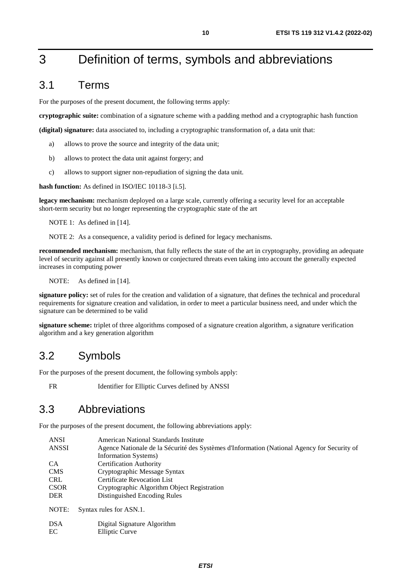## <span id="page-9-0"></span>3 Definition of terms, symbols and abbreviations

### 3.1 Terms

For the purposes of the present document, the following terms apply:

**cryptographic suite:** combination of a signature scheme with a padding method and a cryptographic hash function

**(digital) signature:** data associated to, including a cryptographic transformation of, a data unit that:

- a) allows to prove the source and integrity of the data unit;
- b) allows to protect the data unit against forgery; and
- c) allows to support signer non-repudiation of signing the data unit.

**hash function:** As defined in ISO/IEC 10118-3 [[i.5\]](#page-8-0).

**legacy mechanism:** mechanism deployed on a large scale, currently offering a security level for an acceptable short-term security but no longer representing the cryptographic state of the art

NOTE 1: As defined in [[14](#page-7-0)].

NOTE 2: As a consequence, a validity period is defined for legacy mechanisms.

**recommended mechanism:** mechanism, that fully reflects the state of the art in cryptography, providing an adequate level of security against all presently known or conjectured threats even taking into account the generally expected increases in computing power

NOTE: As defined in [[14](#page-7-0)].

**signature policy:** set of rules for the creation and validation of a signature, that defines the technical and procedural requirements for signature creation and validation, in order to meet a particular business need, and under which the signature can be determined to be valid

**signature scheme:** triplet of three algorithms composed of a signature creation algorithm, a signature verification algorithm and a key generation algorithm

### 3.2 Symbols

For the purposes of the present document, the following symbols apply:

FR Identifier for Elliptic Curves defined by ANSSI

### 3.3 Abbreviations

For the purposes of the present document, the following abbreviations apply:

| <b>ANSI</b> | American National Standards Institute                                                       |
|-------------|---------------------------------------------------------------------------------------------|
| ANSSI       | Agence Nationale de la Sécurité des Systèmes d'Information (National Agency for Security of |
|             | Information Systems)                                                                        |
| CA.         | <b>Certification Authority</b>                                                              |
| <b>CMS</b>  | Cryptographic Message Syntax                                                                |
| <b>CRL</b>  | <b>Certificate Revocation List</b>                                                          |
| <b>CSOR</b> | Cryptographic Algorithm Object Registration                                                 |
| <b>DER</b>  | Distinguished Encoding Rules                                                                |
| NOTE:       | Syntax rules for ASN.1.                                                                     |
| <b>DSA</b>  | Digital Signature Algorithm                                                                 |
| EC          | Elliptic Curve                                                                              |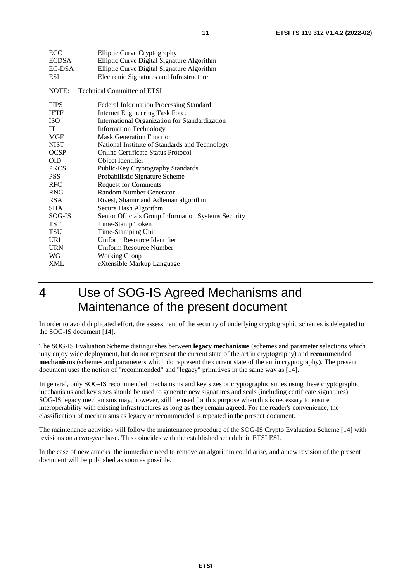<span id="page-10-0"></span>

| ECC          | <b>Elliptic Curve Cryptography</b>                  |
|--------------|-----------------------------------------------------|
| <b>ECDSA</b> | Elliptic Curve Digital Signature Algorithm          |
| EC-DSA       | Elliptic Curve Digital Signature Algorithm          |
| <b>ESI</b>   | Electronic Signatures and Infrastructure            |
| NOTE:        | <b>Technical Committee of ETSI</b>                  |
| <b>FIPS</b>  | <b>Federal Information Processing Standard</b>      |
| <b>IETF</b>  | <b>Internet Engineering Task Force</b>              |
| <b>ISO</b>   | International Organization for Standardization      |
| IT           | <b>Information Technology</b>                       |
| <b>MGF</b>   | <b>Mask Generation Function</b>                     |
| <b>NIST</b>  | National Institute of Standards and Technology      |
| <b>OCSP</b>  | <b>Online Certificate Status Protocol</b>           |
| <b>OID</b>   | Object Identifier                                   |
| <b>PKCS</b>  | Public-Key Cryptography Standards                   |
| <b>PSS</b>   | Probabilistic Signature Scheme                      |
| <b>RFC</b>   | <b>Request for Comments</b>                         |
| <b>RNG</b>   | Random Number Generator                             |
| <b>RSA</b>   | Rivest, Shamir and Adleman algorithm                |
| <b>SHA</b>   | Secure Hash Algorithm                               |
| SOG-IS       | Senior Officials Group Information Systems Security |
| TST          | Time-Stamp Token                                    |
| TSU          | Time-Stamping Unit                                  |
| URI          | Uniform Resource Identifier                         |
| <b>URN</b>   | <b>Uniform Resource Number</b>                      |
| WG           | <b>Working Group</b>                                |
| <b>XML</b>   | eXtensible Markup Language                          |
|              |                                                     |

## 4 Use of SOG-IS Agreed Mechanisms and Maintenance of the present document

In order to avoid duplicated effort, the assessment of the security of underlying cryptographic schemes is delegated to the SOG-IS document [\[14\]](#page-7-0).

The SOG-IS Evaluation Scheme distinguishes between **legacy mechanisms** (schemes and parameter selections which may enjoy wide deployment, but do not represent the current state of the art in cryptography) and **recommended mechanisms** (schemes and parameters which do represent the current state of the art in cryptography). The present document uses the notion of "recommended" and "legacy" primitives in the same way as [\[14](#page-7-0)].

In general, only SOG-IS recommended mechanisms and key sizes or cryptographic suites using these cryptographic mechanisms and key sizes should be used to generate new signatures and seals (including certificate signatures). SOG-IS legacy mechanisms may, however, still be used for this purpose when this is necessary to ensure interoperability with existing infrastructures as long as they remain agreed. For the reader's convenience, the classification of mechanisms as legacy or recommended is repeated in the present document.

The maintenance activities will follow the maintenance procedure of the SOG-IS Crypto Evaluation Scheme [\[14](#page-7-0)] with revisions on a two-year base. This coincides with the established schedule in ETSI ESI.

In the case of new attacks, the immediate need to remove an algorithm could arise, and a new revision of the present document will be published as soon as possible.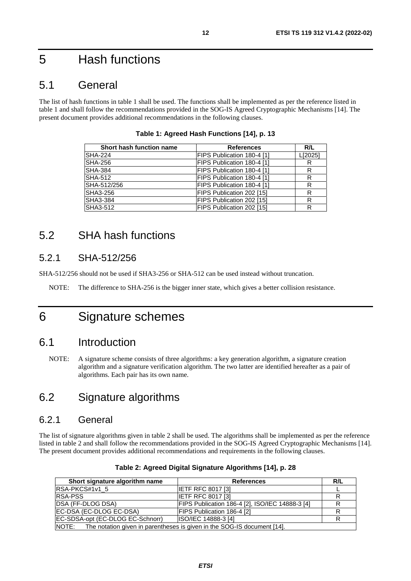## <span id="page-11-0"></span>5 Hash functions

### 5.1 General

The list of hash functions in table 1 shall be used. The functions shall be implemented as per the reference listed in table 1 and shall follow the recommendations provided in the SOG-IS Agreed Cryptographic Mechanisms [[14\]](#page-7-0). The present document provides additional recommendations in the following clauses.

| Short hash function name | <b>References</b>          | R/L     |
|--------------------------|----------------------------|---------|
| <b>SHA-224</b>           | FIPS Publication 180-4 [1] | L[2025] |
| <b>SHA-256</b>           | FIPS Publication 180-4 [1] |         |
| <b>SHA-384</b>           | FIPS Publication 180-4 [1] | R       |
| <b>SHA-512</b>           | FIPS Publication 180-4 [1] | R       |
| SHA-512/256              | FIPS Publication 180-4 [1] | R       |
| SHA3-256                 | FIPS Publication 202 [15]  | R       |
| <b>SHA3-384</b>          | FIPS Publication 202 [15]  | R       |
| SHA3-512                 | FIPS Publication 202 [15]  | R       |

**Table 1: Agreed Hash Functions [[14\]](#page-7-0), p. 13** 

### 5.2 SHA hash functions

#### 5.2.1 SHA-512/256

SHA-512/256 should not be used if SHA3-256 or SHA-512 can be used instead without truncation.

NOTE: The difference to SHA-256 is the bigger inner state, which gives a better collision resistance.

## 6 Signature schemes

### 6.1 Introduction

NOTE: A signature scheme consists of three algorithms: a key generation algorithm, a signature creation algorithm and a signature verification algorithm. The two latter are identified hereafter as a pair of algorithms. Each pair has its own name.

### 6.2 Signature algorithms

#### 6.2.1 General

The list of signature algorithms given in table 2 shall be used. The algorithms shall be implemented as per the reference listed in table 2 and shall follow the recommendations provided in the SOG-IS Agreed Cryptographic Mechanisms [\[14](#page-7-0)]. The present document provides additional recommendations and requirements in the following clauses.

| Short signature algorithm name                                                | <b>References</b>                               | R/L |  |
|-------------------------------------------------------------------------------|-------------------------------------------------|-----|--|
| <b>IRSA-PKCS#1v1 5</b>                                                        | <b>IETF RFC 8017 [3]</b>                        |     |  |
| <b>RSA-PSS</b>                                                                | <b>IETF RFC 8017 [3]</b>                        |     |  |
| DSA (FF-DLOG DSA)                                                             | FIPS Publication 186-4 [2], ISO/IEC 14888-3 [4] |     |  |
| EC-DSA (EC-DLOG EC-DSA)                                                       | FIPS Publication 186-4 [2]                      |     |  |
| EC-SDSA-opt (EC-DLOG EC-Schnorr)                                              | <b>ISO/IEC 14888-3 [4]</b>                      |     |  |
| NOTE: The notation given in parentheses is given in the SOG-IS document [14]. |                                                 |     |  |

|  | Table 2: Agreed Digital Signature Algorithms [14], p. 28 |  |  |
|--|----------------------------------------------------------|--|--|
|--|----------------------------------------------------------|--|--|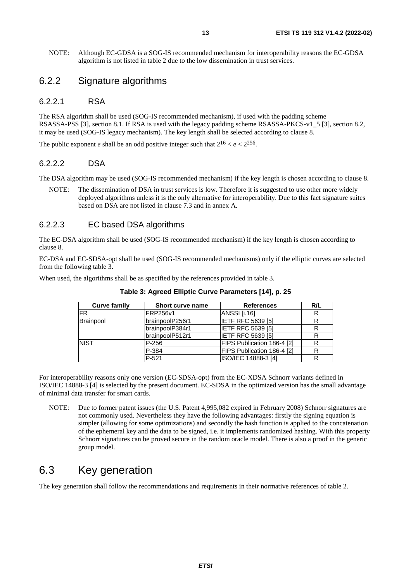<span id="page-12-0"></span>NOTE: Although EC-GDSA is a SOG-IS recommended mechanism for interoperability reasons the EC-GDSA algorithm is not listed in table [2](#page-11-0) due to the low dissemination in trust services.

#### 6.2.2 Signature algorithms

#### 6.2.2.1 RSA

The RSA algorithm shall be used (SOG-IS recommended mechanism), if used with the padding scheme RSASSA-PSS [\[3\]](#page-6-0), section 8.1. If RSA is used with the legacy padding scheme RSASSA-PKCS-v1\_5 [\[3](#page-6-0)], section 8.2, it may be used (SOG-IS legacy mechanism). The key length shall be selected according to clause [8.](#page-14-0)

The public exponent *e* shall be an odd positive integer such that  $2^{16} < e < 2^{256}$ .

#### 6.2.2.2 DSA

The DSA algorithm may be used (SOG-IS recommended mechanism) if the key length is chosen according to clause [8](#page-14-0).

NOTE: The dissemination of DSA in trust services is low. Therefore it is suggested to use other more widely deployed algorithms unless it is the only alternative for interoperability. Due to this fact signature suites based on DSA are not listed in clause 7.3 and in annex [A.](#page-22-0)

#### 6.2.2.3 EC based DSA algorithms

The EC-DSA algorithm shall be used (SOG-IS recommended mechanism) if the key length is chosen according to clause [8](#page-14-0).

EC-DSA and EC-SDSA-opt shall be used (SOG-IS recommended mechanisms) only if the elliptic curves are selected from the following table 3.

When used, the algorithms shall be as specified by the references provided in table 3.

| <b>Curve family</b> | <b>Short curve name</b> | <b>References</b>          | R/L |
|---------------------|-------------------------|----------------------------|-----|
| <b>IFR</b>          | FRP256v1                | ANSSI [i.16]               | R   |
| Brainpool           | brainpoolP256r1         | <b>IETF RFC 5639 [5]</b>   | R   |
|                     | brainpoolP384r1         | <b>IETF RFC 5639 [5]</b>   | R   |
|                     | brainpoolP512r1         | <b>IETF RFC 5639 [5]</b>   |     |
| <b>NIST</b>         | P-256                   | FIPS Publication 186-4 [2] | R   |
|                     | P-384                   | FIPS Publication 186-4 [2] | R   |
|                     | P-521                   | ISO/IEC 14888-3 [4]        |     |

**Table 3: Agreed Elliptic Curve Parameters [\[14\]](#page-7-0), p. 25** 

For interoperability reasons only one version (EC-SDSA-opt) from the EC-XDSA Schnorr variants defined in ISO/IEC 14888-3 [\[4](#page-6-0)] is selected by the present document. EC-SDSA in the optimized version has the small advantage of minimal data transfer for smart cards.

NOTE: Due to former patent issues (the U.S. Patent 4,995,082 expired in February 2008) Schnorr signatures are not commonly used. Nevertheless they have the following advantages: firstly the signing equation is simpler (allowing for some optimizations) and secondly the hash function is applied to the concatenation of the ephemeral key and the data to be signed, i.e. it implements randomized hashing. With this property Schnorr signatures can be proved secure in the random oracle model. There is also a proof in the generic group model.

### 6.3 Key generation

The key generation shall follow the recommendations and requirements in their normative references of table 2.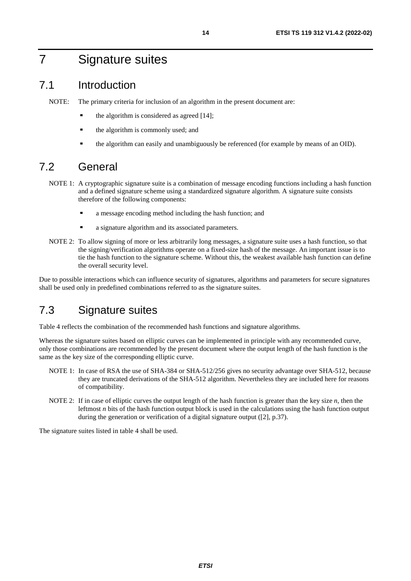## <span id="page-13-0"></span>7 Signature suites

### 7.1 Introduction

NOTE: The primary criteria for inclusion of an algorithm in the present document are:

- the algorithm is considered as agreed [\[14](#page-7-0)];
- the algorithm is commonly used; and
- the algorithm can easily and unambiguously be referenced (for example by means of an OID).

### 7.2 General

- NOTE 1: A cryptographic signature suite is a combination of message encoding functions including a hash function and a defined signature scheme using a standardized signature algorithm. A signature suite consists therefore of the following components:
	- a message encoding method including the hash function; and
	- a signature algorithm and its associated parameters.
- NOTE 2: To allow signing of more or less arbitrarily long messages, a signature suite uses a hash function, so that the signing/verification algorithms operate on a fixed-size hash of the message. An important issue is to tie the hash function to the signature scheme. Without this, the weakest available hash function can define the overall security level.

Due to possible interactions which can influence security of signatures, algorithms and parameters for secure signatures shall be used only in predefined combinations referred to as the signature suites.

### 7.3 Signature suites

Table 4 reflects the combination of the recommended hash functions and signature algorithms.

Whereas the signature suites based on elliptic curves can be implemented in principle with any recommended curve, only those combinations are recommended by the present document where the output length of the hash function is the same as the key size of the corresponding elliptic curve.

- NOTE 1: In case of RSA the use of SHA-384 or SHA-512/256 gives no security advantage over SHA-512, because they are truncated derivations of the SHA-512 algorithm. Nevertheless they are included here for reasons of compatibility.
- NOTE 2: If in case of elliptic curves the output length of the hash function is greater than the key size *n*, then the leftmost *n* bits of the hash function output block is used in the calculations using the hash function output during the generation or verification of a digital signature output ([[2\]](#page-6-0), p.37).

The signature suites listed in table [4](#page-14-0) shall be used.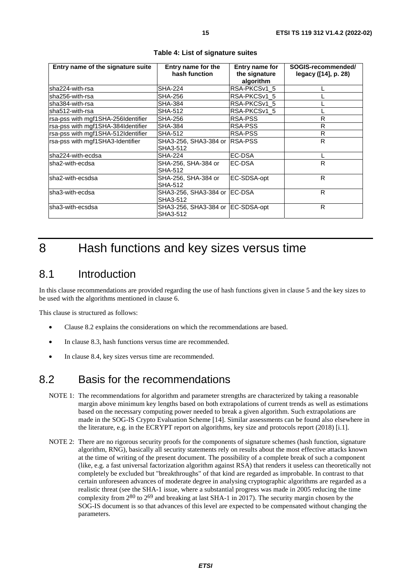<span id="page-14-0"></span>

| Entry name of the signature suite  | Entry name for the<br>hash function | Entry name for<br>the signature | SOGIS-recommended/<br>legacy ([14], p. 28) |  |
|------------------------------------|-------------------------------------|---------------------------------|--------------------------------------------|--|
|                                    |                                     | algorithm                       |                                            |  |
| sha224-with-rsa                    | <b>SHA-224</b>                      | RSA-PKCSv1 5                    |                                            |  |
| lsha256-with-rsa                   | SHA-256                             | RSA-PKCSv1 5                    |                                            |  |
| lsha384-with-rsa                   | SHA-384                             | RSA-PKCSv1 5                    |                                            |  |
| lsha512-with-rsa                   | SHA-512                             | RSA-PKCSv1_5                    |                                            |  |
| rsa-pss with mgf1SHA-256Identifier | SHA-256                             | RSA-PSS                         | R                                          |  |
| rsa-pss with mgf1SHA-384Identifier | <b>SHA-384</b>                      | RSA-PSS                         | R                                          |  |
| rsa-pss with mgf1SHA-512Identifier | <b>SHA-512</b>                      | <b>RSA-PSS</b>                  | R                                          |  |
| rsa-pss with mgf1SHA3-Identifier   | SHA3-256, SHA3-384 or  RSA-PSS      |                                 | R                                          |  |
|                                    | SHA3-512                            |                                 |                                            |  |
| lsha224-with-ecdsa                 | SHA-224                             | EC-DSA                          |                                            |  |
| lsha2-with-ecdsa                   | SHA-256, SHA-384 or                 | <b>IEC-DSA</b>                  | R.                                         |  |
|                                    | SHA-512                             |                                 |                                            |  |
| lsha2-with-ecsdsa                  | SHA-256, SHA-384 or                 | EC-SDSA-opt                     | R                                          |  |
|                                    | SHA-512                             |                                 |                                            |  |
| lsha3-with-ecdsa                   | SHA3-256, SHA3-384 or  EC-DSA       |                                 | R                                          |  |
|                                    | SHA3-512                            |                                 |                                            |  |
| lsha3-with-ecsdsa                  | SHA3-256, SHA3-384 or EC-SDSA-opt   |                                 | R                                          |  |
|                                    | SHA3-512                            |                                 |                                            |  |

## 8 Hash functions and key sizes versus time

#### 8.1 Introduction

In this clause recommendations are provided regarding the use of hash functions given in clause 5 and the key sizes to be used with the algorithms mentioned in clause 6.

This clause is structured as follows:

- Clause 8.2 explains the considerations on which the recommendations are based.
- In clause [8.3](#page-15-0), hash functions versus time are recommended.
- In clause [8.4](#page-15-0), key sizes versus time are recommended.

### 8.2 Basis for the recommendations

- NOTE 1: The recommendations for algorithm and parameter strengths are characterized by taking a reasonable margin above minimum key lengths based on both extrapolations of current trends as well as estimations based on the necessary computing power needed to break a given algorithm. Such extrapolations are made in the SOG-IS Crypto Evaluation Scheme [[14\]](#page-7-0). Similar assessments can be found also elsewhere in the literature, e.g. in the ECRYPT report on algorithms, key size and protocols report (2018) [\[i.1](#page-7-0)].
- NOTE 2: There are no rigorous security proofs for the components of signature schemes (hash function, signature algorithm, RNG), basically all security statements rely on results about the most effective attacks known at the time of writing of the present document. The possibility of a complete break of such a component (like, e.g. a fast universal factorization algorithm against RSA) that renders it useless can theoretically not completely be excluded but "breakthroughs" of that kind are regarded as improbable. In contrast to that certain unforeseen advances of moderate degree in analysing cryptographic algorithms are regarded as a realistic threat (see the SHA-1 issue, where a substantial progress was made in 2005 reducing the time complexity from  $2^{80}$  to  $2^{69}$  and breaking at last SHA-1 in 2017). The security margin chosen by the SOG-IS document is so that advances of this level are expected to be compensated without changing the parameters.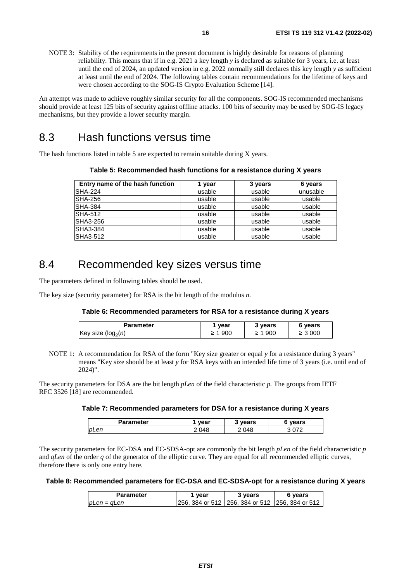<span id="page-15-0"></span>NOTE 3: Stability of the requirements in the present document is highly desirable for reasons of planning reliability. This means that if in e.g. 2021 a key length *y* is declared as suitable for 3 years, i.e. at least until the end of 2024, an updated version in e.g. 2022 normally still declares this key length *y* as sufficient at least until the end of 2024. The following tables contain recommendations for the lifetime of keys and were chosen according to the SOG-IS Crypto Evaluation Scheme [[14\]](#page-7-0).

An attempt was made to achieve roughly similar security for all the components. SOG-IS recommended mechanisms should provide at least 125 bits of security against offline attacks. 100 bits of security may be used by SOG-IS legacy mechanisms, but they provide a lower security margin.

### 8.3 Hash functions versus time

The hash functions listed in table 5 are expected to remain suitable during X years.

| Entry name of the hash function | vear   | 3 years | 6 years  |
|---------------------------------|--------|---------|----------|
| <b>SHA-224</b>                  | usable | usable  | unusable |
| SHA-256                         | usable | usable  | usable   |
| <b>SHA-384</b>                  | usable | usable  | usable   |
| <b>SHA-512</b>                  | usable | usable  | usable   |
| <b>SHA3-256</b>                 | usable | usable  | usable   |
| <b>SHA3-384</b>                 | usable | usable  | usable   |
| <b>SHA3-512</b>                 | usable | usable  | usable   |

**Table 5: Recommended hash functions for a resistance during X years** 

### 8.4 Recommended key sizes versus time

The parameters defined in following tables should be used.

The key size (security parameter) for RSA is the bit length of the modulus *n.* 

#### **Table 6: Recommended parameters for RSA for a resistance during X years**

| vear  | 3 vears | 6 years     |
|-------|---------|-------------|
| 1 900 | 1 900   | $\geq 3000$ |
|       | ≥       |             |

NOTE 1: A recommendation for RSA of the form "Key size greater or equal *y* for a resistance during 3 years" means "Key size should be at least *y* for RSA keys with an intended life time of 3 years (i.e. until end of 2024)".

The security parameters for DSA are the bit length *pLen* of the field characteristic *p.* The groups from IETF RFC 3526 [[18\]](#page-7-0) are recommended*.* 

#### **Table 7: Recommended parameters for DSA for a resistance during X years**

| 'arameter | vear     | vears       | vears  |
|-----------|----------|-------------|--------|
| pLen      | ١Δ<br>−~ | ነ4ያ<br>ັ∪⊤ບ | $\sim$ |

The security parameters for EC-DSA and EC-SDSA-opt are commonly the bit length *pLen* of the field characteristic *p*  and *qLen* of the order *q* of the generator of the elliptic curve*.* They are equal for all recommended elliptic curves, therefore there is only one entry here.

#### **Table 8: Recommended parameters for EC-DSA and EC-SDSA-opt for a resistance during X years**

| Parameter   | vear | 3 vears                                              | 6 vears |
|-------------|------|------------------------------------------------------|---------|
| pLen = qLen |      | 1256. 384 or 512   256. 384 or 512   256. 384 or 512 |         |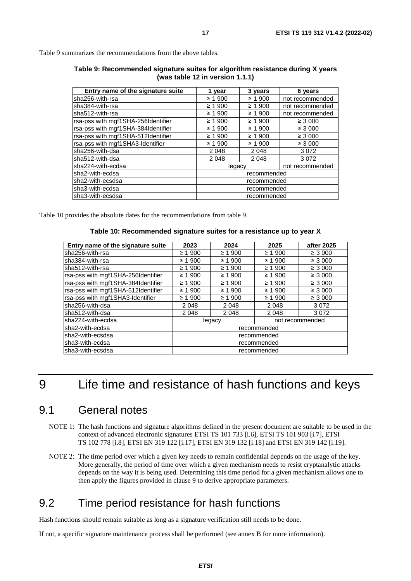<span id="page-16-0"></span>Table 9 summarizes the recommendations from the above tables.

| Table 9: Recommended signature suites for algorithm resistance during X years |
|-------------------------------------------------------------------------------|
| (was table 12 in version 1.1.1)                                               |

| Entry name of the signature suite  | 1 year       | 3 years     | 6 years         |
|------------------------------------|--------------|-------------|-----------------|
| sha256-with-rsa                    | $\geq 1.900$ | $\geq 1900$ | not recommended |
| sha384-with-rsa                    | $\geq 1.900$ | $\geq 1900$ | not recommended |
| sha512-with-rsa                    | $\geq 1.900$ | $\geq 1900$ | not recommended |
| rsa-pss with mgf1SHA-256Identifier | $\geq 1.900$ | ≥ 1900      | $\geq 3000$     |
| rsa-pss with mgf1SHA-384Identifier | $\geq 1900$  | ≥ 1900      | $\geq 3000$     |
| rsa-pss with mgf1SHA-512Identifier | $\geq 1.900$ | ≥ 1900      | $\geq 3000$     |
| rsa-pss with mgf1SHA3-Identifier   | $\geq 1900$  | $\geq 1900$ | $\geq 3000$     |
| sha256-with-dsa                    | 2048         | 2048        | 3072            |
| sha512-with-dsa                    | 2048         | 2048        | 3072            |
| sha224-with-ecdsa                  | legacy       |             | not recommended |
| sha2-with-ecdsa                    | recommended  |             |                 |
| sha2-with-ecsdsa                   | recommended  |             |                 |
| sha3-with-ecdsa                    | recommended  |             |                 |
| sha3-with-ecsdsa                   |              | recommended |                 |

Table 10 provides the absolute dates for the recommendations from table 9.

#### **Table 10: Recommended signature suites for a resistance up to year X**

| Entry name of the signature suite  | 2023         | 2024        | 2025        | after 2025      |
|------------------------------------|--------------|-------------|-------------|-----------------|
| lsha256-with-rsa                   | ≥ 1900       | $\geq 1900$ | $\geq 1900$ | $\geq 3000$     |
| lsha384-with-rsa                   | $\geq 1.900$ | $\geq 1900$ | $\geq 1900$ | $\geq 3000$     |
| lsha512-with-rsa                   | $\geq 1.900$ | $\geq 1900$ | $\geq 1900$ | $\geq 3000$     |
| rsa-pss with mgf1SHA-256Identifier | $\geq 1.900$ | $\geq 1900$ | $\geq 1900$ | $\geq 3000$     |
| rsa-pss with mgf1SHA-384Identifier | $\geq 1.900$ | $\geq 1900$ | $\geq 1900$ | $\geq 3000$     |
| rsa-pss with mgf1SHA-512Identifier | $\geq 1.900$ | $\geq 1900$ | $\geq 1900$ | $\geq 3000$     |
| rsa-pss with mgf1SHA3-Identifier   | $\geq 1.900$ | $\geq 1900$ | $\geq 1900$ | $\geq 3000$     |
| lsha256-with-dsa                   | 2048         | 2 0 4 8     | 2 0 4 8     | 3072            |
| lsha512-with-dsa                   | 2048         | 2 0 4 8     | 2 0 4 8     | 3072            |
| lsha224-with-ecdsa                 | legacy       |             |             | not recommended |
| lsha2-with-ecdsa                   | recommended  |             |             |                 |
| lsha2-with-ecsdsa                  | recommended  |             |             |                 |
| lsha3-with-ecdsa                   | recommended  |             |             |                 |
| lsha3-with-ecsdsa                  | recommended  |             |             |                 |

## 9 Life time and resistance of hash functions and keys

#### 9.1 General notes

- NOTE 1: The hash functions and signature algorithms defined in the present document are suitable to be used in the context of advanced electronic signatures ETSI TS 101 733 [\[i.6\]](#page-8-0), ETSI TS 101 903 [\[i.7](#page-8-0)], ETSI TS 102 778 [[i.8](#page-8-0)], ETSI EN 319 122 [\[i.17\]](#page-8-0), ETSI EN 319 132 [\[i.18\]](#page-8-0) and ETSI EN 319 142 [[i.19\]](#page-8-0).
- NOTE 2: The time period over which a given key needs to remain confidential depends on the usage of the key. More generally, the period of time over which a given mechanism needs to resist cryptanalytic attacks depends on the way it is being used. Determining this time period for a given mechanism allows one to then apply the figures provided in clause 9 to derive appropriate parameters.

### 9.2 Time period resistance for hash functions

Hash functions should remain suitable as long as a signature verification still needs to be done.

If not, a specific signature maintenance process shall be performed (see annex [B](#page-26-0) for more information).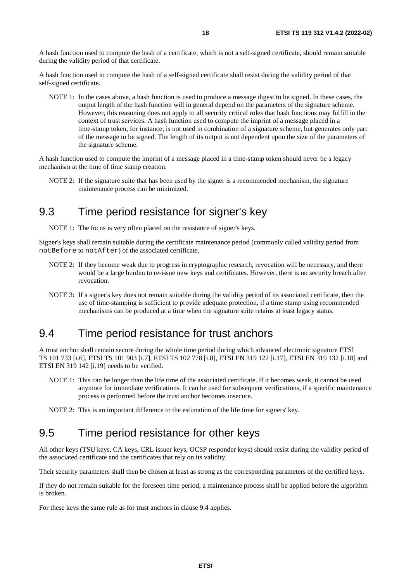<span id="page-17-0"></span>A hash function used to compute the hash of a certificate, which is not a self-signed certificate, should remain suitable during the validity period of that certificate.

A hash function used to compute the hash of a self-signed certificate shall resist during the validity period of that self-signed certificate.

NOTE 1: In the cases above, a hash function is used to produce a message digest to be signed. In these cases, the output length of the hash function will in general depend on the parameters of the signature scheme. However, this reasoning does not apply to all security critical roles that hash functions may fulfill in the context of trust services. A hash function used to compute the imprint of a message placed in a time-stamp token, for instance, is not used in combination of a signature scheme, but generates only part of the message to be signed. The length of its output is not dependent upon the size of the parameters of the signature scheme.

A hash function used to compute the imprint of a message placed in a time-stamp token should never be a legacy mechanism at the time of time stamp creation.

NOTE 2: If the signature suite that has been used by the signer is a recommended mechanism, the signature maintenance process can be minimized.

#### 9.3 Time period resistance for signer's key

NOTE 1: The focus is very often placed on the resistance of signer's keys.

Signer's keys shall remain suitable during the certificate maintenance period (commonly called validity period from notBefore to notAfter) of the associated certificate.

- NOTE 2: If they become weak due to progress in cryptographic research, revocation will be necessary, and there would be a large burden to re-issue new keys and certificates. However, there is no security breach after revocation.
- NOTE 3: If a signer's key does not remain suitable during the validity period of its associated certificate, then the use of time-stamping is sufficient to provide adequate protection, if a time stamp using recommended mechanisms can be produced at a time when the signature suite retains at least legacy status.

### 9.4 Time period resistance for trust anchors

A trust anchor shall remain secure during the whole time period during which advanced electronic signature ETSI TS 101 733 [\[i.6\]](#page-8-0), ETSI TS 101 903 [[i.7](#page-8-0)], ETSI TS 102 778 [[i.8\]](#page-8-0), ETSI EN 319 122 [[i.17](#page-8-0)], ETSI EN 319 132 [\[i.18\]](#page-8-0) and ETSI EN 319 142 [[i.19\]](#page-8-0) needs to be verified.

NOTE 1: This can be longer than the life time of the associated certificate. If it becomes weak, it cannot be used anymore for immediate verifications. It can be used for subsequent verifications, if a specific maintenance process is performed before the trust anchor becomes insecure.

NOTE 2: This is an important difference to the estimation of the life time for signers' key.

### 9.5 Time period resistance for other keys

All other keys (TSU keys, CA keys, CRL issuer keys, OCSP responder keys) should resist during the validity period of the associated certificate and the certificates that rely on its validity.

Their security parameters shall then be chosen at least as strong as the corresponding parameters of the certified keys.

If they do not remain suitable for the foreseen time period, a maintenance process shall be applied before the algorithm is broken.

For these keys the same rule as for trust anchors in clause 9.4 applies.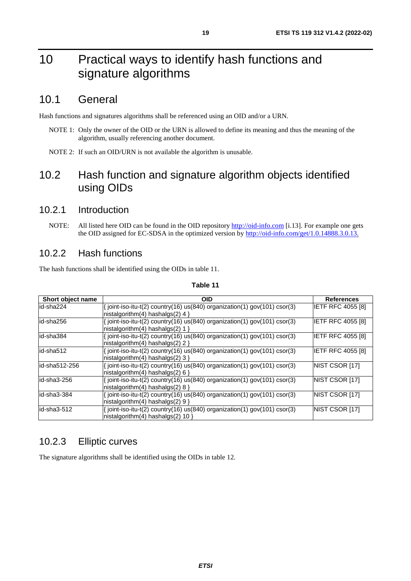## <span id="page-18-0"></span>10 Practical ways to identify hash functions and signature algorithms

### 10.1 General

Hash functions and signatures algorithms shall be referenced using an OID and/or a URN.

- NOTE 1: Only the owner of the OID or the URN is allowed to define its meaning and thus the meaning of the algorithm, usually referencing another document.
- NOTE 2: If such an OID/URN is not available the algorithm is unusable.

### 10.2 Hash function and signature algorithm objects identified using OIDs

#### 10.2.1 Introduction

NOTE: All listed here OID can be found in the OID repository [http://oid-info.com](http://oid-info.com/) [[i.13](#page-8-0)]. For example one gets the OID assigned for EC-SDSA in the optimized version by <http://oid-info.com/get/1.0.14888.3.0.13>.

#### 10.2.2 Hash functions

The hash functions shall be identified using the OIDs in table 11.

| Short object name | OID                                                                                                                | <b>References</b>        |
|-------------------|--------------------------------------------------------------------------------------------------------------------|--------------------------|
| lid-sha224        | $\{$ joint-iso-itu-t(2) country(16) us(840) organization(1) gov(101) csor(3)<br>nistalgorithm(4) hashalgs(2) 4 }   | IETF RFC 4055 [8]        |
| id-sha256         | { joint-iso-itu-t(2) country(16) us(840) organization(1) gov(101) csor(3)<br>nistalgorithm(4) hashalgs(2) 1 }      | <b>IETF RFC 4055 [8]</b> |
| lid-sha384        | $\{$ joint-iso-itu-t(2) country(16) us(840) organization(1) gov(101) csor(3)<br>$histalqorithm(4)$ hashalgs(2) 2 } | IETF RFC 4055 [8]        |
| id-sha512         | { joint-iso-itu-t(2) country(16) us(840) organization(1) gov(101) csor(3)<br>nistalgorithm(4) hashalgs(2) 3 }      | <b>IETF RFC 4055 [8]</b> |
| id-sha512-256     | {ioint-iso-itu-t(2) country(16) us(840) organization(1) gov(101) csor(3)<br>$histalqorithm(4)$ hashalgs(2) 6 }     | NIST CSOR [17]           |
| lid-sha3-256      | $\{$ joint-iso-itu-t(2) country(16) us(840) organization(1) gov(101) csor(3)<br>nistalgorithm(4) hashalgs(2) 8 }   | <b>INIST CSOR [17]</b>   |
| id-sha3-384       | $\{$ joint-iso-itu-t(2) country(16) us(840) organization(1) gov(101) csor(3)<br>nistalgorithm(4) hashalgs(2) $9$ } | NIST CSOR [17]           |
| id-sha3-512       | $\{$ joint-iso-itu-t(2) country(16) us(840) organization(1) gov(101) csor(3)<br>nistalgorithm(4) hashalgs(2) 10 }  | NIST CSOR [17]           |

#### **Table 11**

#### 10.2.3 Elliptic curves

The signature algorithms shall be identified using the OIDs in table [12.](#page-19-0)

### *ETSI*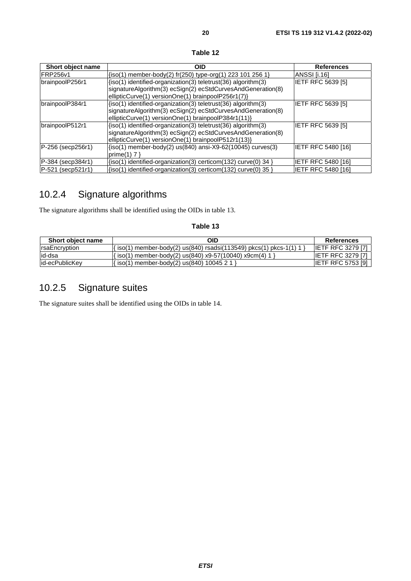#### **Table 12**

<span id="page-19-0"></span>

| Short object name            | <b>OID</b>                                                                                                                                                                             | <b>References</b>         |
|------------------------------|----------------------------------------------------------------------------------------------------------------------------------------------------------------------------------------|---------------------------|
| <b>IFRP256v1</b>             | $\{iso(1)$ member-body(2) fr(250) type-org(1) 223 101 256 1}                                                                                                                           | ANSSI II.161              |
| brainpoolP256r1              | (iso(1) identified-organization(3) teletrust(36) algorithm(3)<br>signatureAlgorithm(3) ecSign(2) ecStdCurvesAndGeneration(8)<br>ellipticCurve(1) versionOne(1) brainpoolP256r1(7)}     | <b>IETF RFC 5639 [5]</b>  |
| brainpoolP384r1              | $\{iso(1)$ identified-organization(3) teletrust(36) algorithm(3)<br>signatureAlgorithm(3) ecSign(2) ecStdCurvesAndGeneration(8)<br>ellipticCurve(1) versionOne(1) brainpoolP384r1(11)} | <b>IETF RFC 5639 [5]</b>  |
| brainpoolP512r1              | (iso(1) identified-organization(3) teletrust(36) algorithm(3)<br>signatureAlgorithm(3) ecSign(2) ecStdCurvesAndGeneration(8)<br>ellipticCurve(1) versionOne(1) brainpoolP512r1(13)}    | IETF RFC 5639 [5]         |
| P-256 (secp256r1)            | $\{iso(1)$ member-body(2) us(840) ansi-X9-62(10045) curves(3)<br>prime(1) $7$ }                                                                                                        | IETF RFC 5480 [16]        |
| P-384 (secp384r1)            | $\{iso(1)$ identified-organization(3) certicom(132) curve(0) 34 }                                                                                                                      | <b>IETF RFC 5480 [16]</b> |
| $P-521$<br>$($ sec $p521r1)$ | $\{iso(1)$ identified-organization(3) certicom(132) curve(0) 35                                                                                                                        | <b>IETF RFC 5480 [16]</b> |

### 10.2.4 Signature algorithms

The signature algorithms shall be identified using the OIDs in table 13.

#### **Table 13**

| Short object name | OID                                                                | <b>References</b>          |
|-------------------|--------------------------------------------------------------------|----------------------------|
| rsaEncryption     | ' iso(1) member-body(2) us(840) rsadsi(113549) pkcs(1) pkcs-1(1) 1 | <b>IETF RFC 3279 [7]</b>   |
| lid-dsa           | $\{iso(1)$ member-body(2) us(840) x9-57(10040) x9cm(4) 1 }         | <b>IETF RFC 3279 [7]</b>   |
| lid-ecPublicKev   | iso(1) member-body(2) us(840) 10045 2 1 i                          | <b>IETF RFC 5753 [9] I</b> |

### 10.2.5 Signature suites

The signature suites shall be identified using the OIDs in table [14](#page-20-0).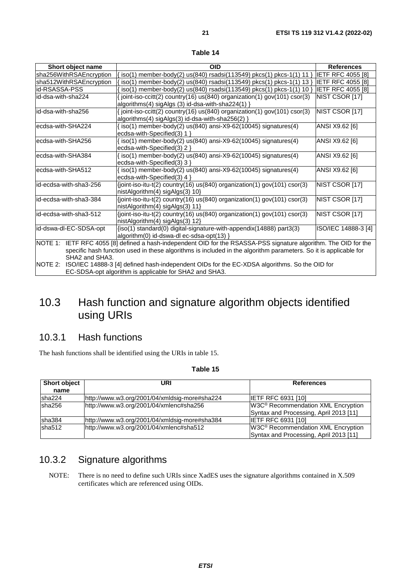<span id="page-20-0"></span>

| Short object name       | <b>OID</b>                                                                                                                                 | <b>References</b>        |
|-------------------------|--------------------------------------------------------------------------------------------------------------------------------------------|--------------------------|
| sha256WithRSAEncryption | iso(1) member-body(2) us(840) rsadsi(113549) pkcs(1) pkcs-1(1) 11                                                                          | <b>IETF RFC 4055 [8]</b> |
| sha512WithRSAEncryption | iso(1) member-body(2) us(840) rsadsi(113549) pkcs(1) pkcs-1(1) 13                                                                          | <b>IETF RFC 4055 [8]</b> |
| id-RSASSA-PSS           | $iso(1)$ member-body(2) us(840) rsadsi(113549) pkcs(1) pkcs-1(1) 10                                                                        | <b>IETF RFC 4055 [8]</b> |
| id-dsa-with-sha224      | $\frac{1}{2}$ joint-iso-ccitt(2) country(16) us(840) organization(1) gov(101) csor(3)<br>algorithms(4) sigAlgs (3) id-dsa-with-sha224(1) } | NIST CSOR [17]           |
| id-dsa-with-sha256      | $\frac{1}{2}$ joint-iso-ccitt(2) country(16) us(840) organization(1) gov(101) csor(3)<br> algorithms(4) sigAlgs(3) id-dsa-with-sha256(2) } | NIST CSOR [17]           |
| ecdsa-with-SHA224       | $\frac{1}{2}$ iso(1) member-body(2) us(840) ansi-X9-62(10045) signatures(4)<br>lecdsa-with-Specified(3) 1 }                                | ANSI X9.62 [6]           |
| ecdsa-with-SHA256       | $\frac{1}{2}$ iso(1) member-body(2) us(840) ansi-X9-62(10045) signatures(4)<br>ecdsa-with-Specified(3) 2 }                                 | ANSI X9.62 [6]           |
| ecdsa-with-SHA384       | $\frac{1}{2}$ iso(1) member-body(2) us(840) ansi-X9-62(10045) signatures(4)<br>lecdsa-with-Specified(3) 3 }                                | ANSI X9.62 [6]           |
| ecdsa-with-SHA512       | $\{iso(1)$ member-body(2) us(840) ansi-X9-62(10045) signatures(4)<br>$gcdes_with_Snceil(d/3)$ $\wedge$ $\wedge$                            | ANSI X9.62 [6]           |

| able |  |
|------|--|
|------|--|

|                                      | $\arg \text{or}(\text{max}(4) \, \text{sign}(3) \, \text{for}(\text{maxmin-s} \, \text{max}(2))$                                                                                                                                                                                                                                                                                       |                        |
|--------------------------------------|----------------------------------------------------------------------------------------------------------------------------------------------------------------------------------------------------------------------------------------------------------------------------------------------------------------------------------------------------------------------------------------|------------------------|
| ecdsa-with-SHA224                    | $\{iso(1)$ member-body(2) us(840) ansi-X9-62(10045) signatures(4)<br>ecdsa-with-Specified $(3)$ 1 }                                                                                                                                                                                                                                                                                    | ANSI X9.62 [6]         |
| ecdsa-with-SHA256                    | $iso(1)$ member-body(2) us(840) ansi-X9-62(10045) signatures(4)<br>ecdsa-with-Specified(3) $2$ }                                                                                                                                                                                                                                                                                       | ANSI X9.62 [6]         |
| ecdsa-with-SHA384                    | $iso(1)$ member-body(2) $us(840)$ ansi-X9-62(10045) signatures(4)<br>ecdsa-with-Specified(3) $3$ }                                                                                                                                                                                                                                                                                     | ANSI X9.62 [6]         |
| ecdsa-with-SHA512                    | $\sin(1)$ member-body(2) us(840) ansi-X9-62(10045) signatures(4)<br>ecdsa-with-Specified $(3)$ 4 }                                                                                                                                                                                                                                                                                     | ANSI X9.62 [6]         |
| id-ecdsa-with-sha3-256               | $\{$ ioint-iso-itu-t(2) country(16) us(840) organization(1) gov(101) csor(3)<br>nistAlgorithm(4) sigAlgs(3) 10                                                                                                                                                                                                                                                                         | NIST CSOR [17]         |
| id-ecdsa-with-sha3-384               | $\{$ ioint-iso-itu-t(2) country(16) us(840) organization(1) gov(101) csor(3)<br>nistAlgorithm(4) sigAlgs(3) 11                                                                                                                                                                                                                                                                         | <b>INIST CSOR [17]</b> |
| id-ecdsa-with-sha3-512               | $\{joint\text{-}iso\text{-}itu\text{-}t(2)$ country(16) us(840) organization(1) gov(101) csor(3)<br>nistAlgorithm(4) sigAlgs(3) 12                                                                                                                                                                                                                                                     | NIST CSOR [17]         |
| id-dswa-dl-EC-SDSA-opt               | $\{iso(1)$ standard $(0)$ digital-signature-with-appendix $(14888)$ part $3(3)$<br>algorithm(0) id-dswa-dl ec-sdsa-opt(13) $\}$                                                                                                                                                                                                                                                        | ISO/IEC 14888-3 [4]    |
| NOTE 1:<br>SHA2 and SHA3.<br>NOTE 2: | IETF RFC 4055 [8] defined a hash-independent OID for the RSASSA-PSS signature algorithm. The OID for the<br>specific hash function used in these algorithms is included in the algorithm parameters. So it is applicable for<br>ISO/IEC 14888-3 [4] defined hash-independent OIDs for the EC-XDSA algorithms. So the OID for<br>EC-SDSA-opt algorithm is applicable for SHA2 and SHA3. |                        |

### 10.3 Hash function and signature algorithm objects identified using URIs

#### 10.3.1 Hash functions

The hash functions shall be identified using the URIs in table 15.

| <b>Short object</b><br>name | URI                                           | <b>References</b>                                                                        |
|-----------------------------|-----------------------------------------------|------------------------------------------------------------------------------------------|
| sha224                      | http://www.w3.org/2001/04/xmldsig-more#sha224 | <b>IETF RFC 6931 [10]</b>                                                                |
| sha256                      | http://www.w3.org/2001/04/xmlenc#sha256       | W3C <sup>®</sup> Recommendation XML Encryption<br>Syntax and Processing, April 2013 [11] |
| Isha384                     | http://www.w3.org/2001/04/xmldsig-more#sha384 | IETF RFC 6931 [10]                                                                       |
| sha512                      | http://www.w3.org/2001/04/xmlenc#sha512       | W3C <sup>®</sup> Recommendation XML Encryption<br>Syntax and Processing, April 2013 [11] |

### 10.3.2 Signature algorithms

NOTE: There is no need to define such URIs since XadES uses the signature algorithms contained in X.509 certificates which are referenced using OIDs.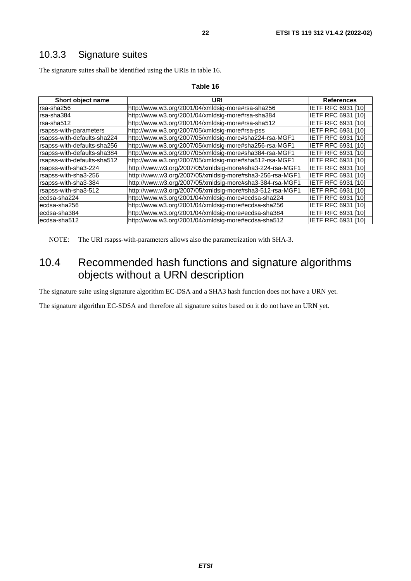### <span id="page-21-0"></span>10.3.3 Signature suites

The signature suites shall be identified using the URIs in table 16.

| Short object name           | URI                                                      | <b>References</b>         |
|-----------------------------|----------------------------------------------------------|---------------------------|
| rsa-sha256                  | http://www.w3.org/2001/04/xmldsig-more#rsa-sha256        | IETF RFC 6931 [10]        |
| rsa-sha384                  | http://www.w3.org/2001/04/xmldsig-more#rsa-sha384        | <b>IETF RFC 6931 [10]</b> |
| rsa-sha512                  | http://www.w3.org/2001/04/xmldsig-more#rsa-sha512        | <b>IETF RFC 6931 [10]</b> |
| rsapss-with-parameters      | http://www.w3.org/2007/05/xmldsig-more#rsa-pss           | <b>IETF RFC 6931 [10]</b> |
| rsapss-with-defaults-sha224 | http://www.w3.org/2007/05/xmldsig-more#sha224-rsa-MGF1   | IETF RFC 6931<br>[10]     |
| rsapss-with-defaults-sha256 | http://www.w3.org/2007/05/xmldsig-more#sha256-rsa-MGF1   | IETF RFC 6931<br>[10]     |
| rsapss-with-defaults-sha384 | http://www.w3.org/2007/05/xmldsig-more#sha384-rsa-MGF1   | <b>IETF RFC 6931 [10]</b> |
| rsapss-with-defaults-sha512 | http://www.w3.org/2007/05/xmldsig-more#sha512-rsa-MGF1   | <b>IETF RFC 6931 [10]</b> |
| rsapss-with-sha3-224        | http://www.w3.org/2007/05/xmldsig-more#sha3-224-rsa-MGF1 | <b>IETF RFC 6931 [10]</b> |
| rsapss-with-sha3-256        | http://www.w3.org/2007/05/xmldsig-more#sha3-256-rsa-MGF1 | <b>IETF RFC 6931 [10]</b> |
| Irsapss-with-sha3-384       | http://www.w3.org/2007/05/xmldsig-more#sha3-384-rsa-MGF1 | <b>IETF RFC 6931 [10]</b> |
| rsapss-with-sha3-512        | http://www.w3.org/2007/05/xmldsig-more#sha3-512-rsa-MGF1 | <b>IETF RFC 6931 [10]</b> |
| ecdsa-sha224                | http://www.w3.org/2001/04/xmldsig-more#ecdsa-sha224      | IETF RFC 6931<br>[10]     |
| lecdsa-sha256               | http://www.w3.org/2001/04/xmldsig-more#ecdsa-sha256      | IETF RFC 6931<br>[10]     |
| lecdsa-sha384               | http://www.w3.org/2001/04/xmldsig-more#ecdsa-sha384      | IETF RFC 6931 [10]        |
| lecdsa-sha512               | http://www.w3.org/2001/04/xmldsig-more#ecdsa-sha512      | IETF RFC 6931 [10]        |

#### **Table 16**

NOTE: The URI rsapss-with-parameters allows also the parametrization with SHA-3.

### 10.4 Recommended hash functions and signature algorithms objects without a URN description

The signature suite using signature algorithm EC-DSA and a SHA3 hash function does not have a URN yet.

The signature algorithm EC-SDSA and therefore all signature suites based on it do not have an URN yet.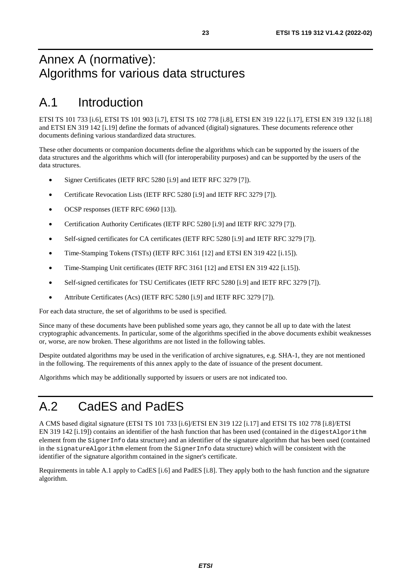## <span id="page-22-0"></span>Annex A (normative): Algorithms for various data structures

## A.1 Introduction

ETSI TS 101 733 [\[i.6](#page-8-0)], ETSI TS 101 903 [[i.7](#page-8-0)], ETSI TS 102 778 [\[i.8\]](#page-8-0), ETSI EN 319 122 [[i.17\]](#page-8-0), ETSI EN 319 132 [\[i.18](#page-8-0)] and ETSI EN 319 142 [\[i.19\]](#page-8-0) define the formats of advanced (digital) signatures. These documents reference other documents defining various standardized data structures.

These other documents or companion documents define the algorithms which can be supported by the issuers of the data structures and the algorithms which will (for interoperability purposes) and can be supported by the users of the data structures.

- Signer Certificates (IETF RFC 5280 [[i.9](#page-8-0)] and IETF RFC 3279 [\[7\]](#page-6-0)).
- Certificate Revocation Lists (IETF RFC 5280 [\[i.9\]](#page-8-0) and IETF RFC 3279 [\[7](#page-6-0)]).
- OCSP responses (IETF RFC 6960 [[13](#page-7-0)]).
- Certification Authority Certificates (IETF RFC 5280 [[i.9](#page-8-0)] and IETF RFC 3279 [\[7\]](#page-6-0)).
- Self-signed certificates for CA certificates (IETF RFC 5280 [\[i.9](#page-8-0)] and IETF RFC 3279 [\[7](#page-6-0)]).
- Time-Stamping Tokens (TSTs) (IETF RFC 3161 [[12\]](#page-7-0) and ETSI EN 319 422 [\[i.15](#page-8-0)]).
- Time-Stamping Unit certificates (IETF RFC 3161 [[12](#page-7-0)] and ETSI EN 319 422 [\[i.15\]](#page-8-0)).
- Self-signed certificates for TSU Certificates (IETF RFC 5280 [\[i.9\]](#page-8-0) and IETF RFC 3279 [\[7](#page-6-0)]).
- Attribute Certificates (Acs) (IETF RFC 5280 [\[i.9\]](#page-8-0) and IETF RFC 3279 [[7](#page-6-0)]).

For each data structure, the set of algorithms to be used is specified.

Since many of these documents have been published some years ago, they cannot be all up to date with the latest cryptographic advancements. In particular, some of the algorithms specified in the above documents exhibit weaknesses or, worse, are now broken. These algorithms are not listed in the following tables.

Despite outdated algorithms may be used in the verification of archive signatures, e.g. SHA-1, they are not mentioned in the following. The requirements of this annex apply to the date of issuance of the present document.

Algorithms which may be additionally supported by issuers or users are not indicated too.

## A.2 CadES and PadES

A CMS based digital signature (ETSI TS 101 733 [[i.6](#page-8-0)]/ETSI EN 319 122 [\[i.17\]](#page-8-0) and ETSI TS 102 778 [\[i.8](#page-8-0)]/ETSI EN 319 142 [[i.19\]](#page-8-0)) contains an identifier of the hash function that has been used (contained in the digestAlgorithm element from the SignerInfo data structure) and an identifier of the signature algorithm that has been used (contained in the signatureAlgorithm element from the SignerInfo data structure) which will be consistent with the identifier of the signature algorithm contained in the signer's certificate.

Requirements in table A.1 apply to CadES [[i.6\]](#page-8-0) and PadES [\[i.8\]](#page-8-0). They apply both to the hash function and the signature algorithm.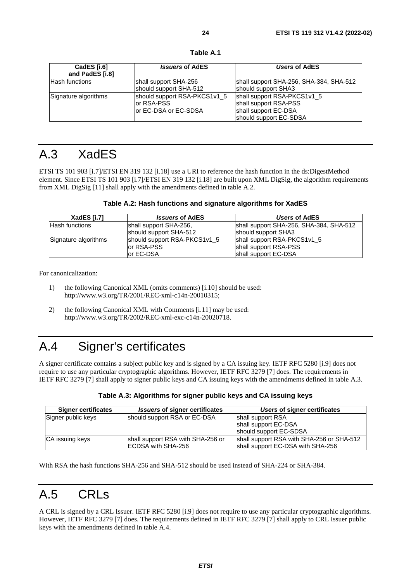**Table A.1** 

<span id="page-23-0"></span>

| CadES [i.6]<br>and PadES [i.8] | <b>Issuers of AdES</b>                                              | Users of AdES                                                                                          |
|--------------------------------|---------------------------------------------------------------------|--------------------------------------------------------------------------------------------------------|
| <b>Hash functions</b>          | shall support SHA-256<br>should support SHA-512                     | shall support SHA-256, SHA-384, SHA-512<br>should support SHA3                                         |
| Signature algorithms           | should support RSA-PKCS1v1_5<br>lor RSA-PSS<br>or EC-DSA or EC-SDSA | shall support RSA-PKCS1v1_5<br>shall support RSA-PSS<br>shall support EC-DSA<br>should support EC-SDSA |

## A.3 XadES

ETSI TS 101 903 [\[i.7](#page-8-0)]/ETSI EN 319 132 [[i.18](#page-8-0)] use a URI to reference the hash function in the ds:DigestMethod element. Since ETSI TS 101 903 [\[i.7](#page-8-0)]/ETSI EN 319 132 [\[i.18](#page-8-0)] are built upon XML DigSig, the algorithm requirements from XML DigSig [[11](#page-7-0)] shall apply with the amendments defined in table A.2.

| Table A.2: Hash functions and signature algorithms for XadES |  |  |
|--------------------------------------------------------------|--|--|
|--------------------------------------------------------------|--|--|

| XadES [i.7]          | <i><b>Issuers of AdES</b></i> | Users of AdES                           |
|----------------------|-------------------------------|-----------------------------------------|
| lHash functions      | shall support SHA-256,        | shall support SHA-256, SHA-384, SHA-512 |
|                      | should support SHA-512        | should support SHA3                     |
| Signature algorithms | should support RSA-PKCS1v1_5  | shall support RSA-PKCS1v1_5             |
|                      | or RSA-PSS                    | shall support RSA-PSS                   |
|                      | lor EC-DSA                    | shall support EC-DSA                    |

For canonicalization:

- 1) the following Canonical XML (omits comments) [[i.10\]](#page-8-0) should be used: http://www.w3.org/TR/2001/REC-xml-c14n-20010315;
- 2) the following Canonical XML with Comments [[i.11](#page-8-0)] may be used: http://www.w3.org/TR/2002/REC-xml-exc-c14n-20020718.

## A.4 Signer's certificates

A signer certificate contains a subject public key and is signed by a CA issuing key. IETF RFC 5280 [\[i.9\]](#page-8-0) does not require to use any particular cryptographic algorithms. However, IETF RFC 3279 [[7\]](#page-6-0) does. The requirements in IETF RFC 3279 [\[7](#page-6-0)] shall apply to signer public keys and CA issuing keys with the amendments defined in table A.3.

| Table A.3: Algorithms for signer public keys and CA issuing keys |  |
|------------------------------------------------------------------|--|
|                                                                  |  |

| <b>Signer certificates</b> | <i><b>Issuers of signer certificates</b></i> | Users of signer certificates              |
|----------------------------|----------------------------------------------|-------------------------------------------|
| Signer public keys         | should support RSA or EC-DSA                 | shall support RSA                         |
|                            |                                              | shall support EC-DSA                      |
|                            |                                              | should support EC-SDSA                    |
| <b>CA</b> issuing keys     | shall support RSA with SHA-256 or            | shall support RSA with SHA-256 or SHA-512 |
|                            | <b>IECDSA with SHA-256</b>                   | shall support EC-DSA with SHA-256         |

With RSA the hash functions SHA-256 and SHA-512 should be used instead of SHA-224 or SHA-384.

## A.5 CRLs

A CRL is signed by a CRL Issuer. IETF RFC 5280 [\[i.9](#page-8-0)] does not require to use any particular cryptographic algorithms. However, IETF RFC 3279 [\[7](#page-6-0)] does. The requirements defined in IETF RFC 3279 [[7\]](#page-6-0) shall apply to CRL Issuer public keys with the amendments defined in table A.4.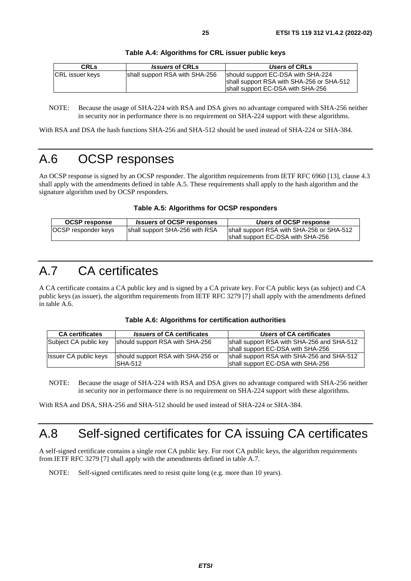<span id="page-24-0"></span>

| <b>CRLS</b>            | <i><b>Issuers of CRLs</b></i>  | Users of CRLs                                                                                                        |
|------------------------|--------------------------------|----------------------------------------------------------------------------------------------------------------------|
| <b>CRL</b> issuer keys | shall support RSA with SHA-256 | should support EC-DSA with SHA-224<br>shall support RSA with SHA-256 or SHA-512<br>shall support EC-DSA with SHA-256 |

#### **Table A.4: Algorithms for CRL issuer public keys**

NOTE: Because the usage of SHA-224 with RSA and DSA gives no advantage compared with SHA-256 neither in security nor in performance there is no requirement on SHA-224 support with these algorithms.

With RSA and DSA the hash functions SHA-256 and SHA-512 should be used instead of SHA-224 or SHA-384.

## A.6 OCSP responses

An OCSP response is signed by an OCSP responder. The algorithm requirements from IETF RFC 6960 [\[13](#page-7-0)], clause 4.3 shall apply with the amendments defined in table A.5. These requirements shall apply to the hash algorithm and the signature algorithm used by OCSP responders.

#### **Table A.5: Algorithms for OCSP responders**

| <b>OCSP response</b>       | <i><b>Issuers of OCSP responses</b></i> | Users of OCSP response                    |
|----------------------------|-----------------------------------------|-------------------------------------------|
| <b>OCSP</b> responder keys | shall support SHA-256 with RSA          | shall support RSA with SHA-256 or SHA-512 |
|                            |                                         | shall support EC-DSA with SHA-256         |

## A.7 CA certificates

A CA certificate contains a CA public key and is signed by a CA private key. For CA public keys (as subject) and CA public keys (as issuer), the algorithm requirements from IETF RFC 3279 [\[7\]](#page-6-0) shall apply with the amendments defined in table A.6.

|  |  |  | Table A.6: Algorithms for certification authorities |  |
|--|--|--|-----------------------------------------------------|--|
|--|--|--|-----------------------------------------------------|--|

| <b>CA certificates</b>       | <b>Issuers of CA certificates</b>  | Users of CA certificates                   |
|------------------------------|------------------------------------|--------------------------------------------|
| Subject CA public key        | should support RSA with SHA-256    | shall support RSA with SHA-256 and SHA-512 |
|                              |                                    | shall support EC-DSA with SHA-256          |
| <b>Issuer CA public keys</b> | should support RSA with SHA-256 or | shall support RSA with SHA-256 and SHA-512 |
|                              | ISHA-512                           | shall support EC-DSA with SHA-256          |

NOTE: Because the usage of SHA-224 with RSA and DSA gives no advantage compared with SHA-256 neither in security nor in performance there is no requirement on SHA-224 support with these algorithms.

With RSA and DSA, SHA-256 and SHA-512 should be used instead of SHA-224 or SHA-384.

## A.8 Self-signed certificates for CA issuing CA certificates

A self-signed certificate contains a single root CA public key. For root CA public keys, the algorithm requirements from IETF RFC 3279 [[7](#page-6-0)] shall apply with the amendments defined in table A.7.

NOTE: Self-signed certificates need to resist quite long (e.g. more than 10 years).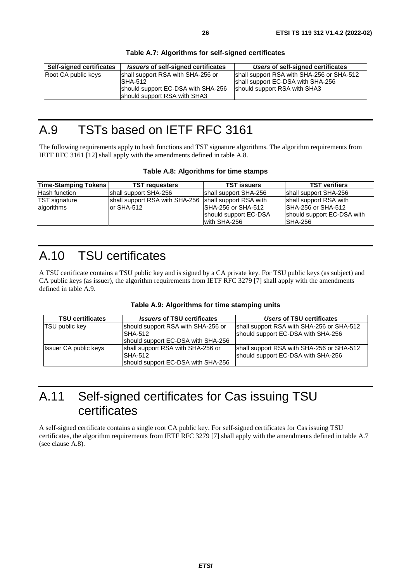#### **Table A.7: Algorithms for self-signed certificates**

## <span id="page-25-0"></span>A.9 TSTs based on IETF RFC 3161

The following requirements apply to hash functions and TST signature algorithms. The algorithm requirements from IETF RFC 3161 [\[12\]](#page-7-0) shall apply with the amendments defined in table A.8.

#### **Table A.8: Algorithms for time stamps**

| <b>Time-Stamping Tokens</b>        | <b>TST requesters</b>                        | <b>TST issuers</b>                                                                           | <b>TST verifiers</b>                                                                           |
|------------------------------------|----------------------------------------------|----------------------------------------------------------------------------------------------|------------------------------------------------------------------------------------------------|
| Hash function                      | shall support SHA-256                        | shall support SHA-256                                                                        | shall support SHA-256                                                                          |
| <b>TST</b> signature<br>algorithms | shall support RSA with SHA-256<br>or SHA-512 | shall support RSA with<br><b>SHA-256 or SHA-512</b><br>should support EC-DSA<br>with SHA-256 | shall support RSA with<br><b>ISHA-256 or SHA-512</b><br>should support EC-DSA with<br>ISHA-256 |

## A.10 TSU certificates

A TSU certificate contains a TSU public key and is signed by a CA private key. For TSU public keys (as subject) and CA public keys (as issuer), the algorithm requirements from IETF RFC 3279 [[7](#page-6-0)] shall apply with the amendments defined in table A.9.

| <b>TSU certificates</b>      | <b>Issuers of TSU certificates</b> | Users of TSU certificates                 |
|------------------------------|------------------------------------|-------------------------------------------|
| <b>TSU</b> public key        | should support RSA with SHA-256 or | shall support RSA with SHA-256 or SHA-512 |
|                              | <b>SHA-512</b>                     | should support EC-DSA with SHA-256        |
|                              | should support EC-DSA with SHA-256 |                                           |
| <b>Issuer CA public keys</b> | shall support RSA with SHA-256 or  | shall support RSA with SHA-256 or SHA-512 |
|                              | ISHA-512                           | should support EC-DSA with SHA-256        |
|                              | should support EC-DSA with SHA-256 |                                           |

## A.11 Self-signed certificates for Cas issuing TSU certificates

A self-signed certificate contains a single root CA public key. For self-signed certificates for Cas issuing TSU certificates, the algorithm requirements from IETF RFC 3279 [\[7](#page-6-0)] shall apply with the amendments defined in table A.7 (see clause A.8).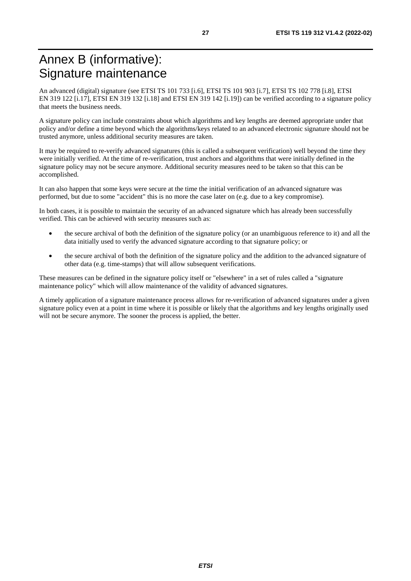## <span id="page-26-0"></span>Annex B (informative): Signature maintenance

An advanced (digital) signature (see ETSI TS 101 733 [\[i.6\]](#page-8-0), ETSI TS 101 903 [[i.7](#page-8-0)], ETSI TS 102 778 [[i.8\]](#page-8-0), ETSI EN 319 122 [[i.17](#page-8-0)], ETSI EN 319 132 [\[i.18\]](#page-8-0) and ETSI EN 319 142 [[i.19](#page-8-0)]) can be verified according to a signature policy that meets the business needs.

A signature policy can include constraints about which algorithms and key lengths are deemed appropriate under that policy and/or define a time beyond which the algorithms/keys related to an advanced electronic signature should not be trusted anymore, unless additional security measures are taken.

It may be required to re-verify advanced signatures (this is called a subsequent verification) well beyond the time they were initially verified. At the time of re-verification, trust anchors and algorithms that were initially defined in the signature policy may not be secure anymore. Additional security measures need to be taken so that this can be accomplished.

It can also happen that some keys were secure at the time the initial verification of an advanced signature was performed, but due to some "accident" this is no more the case later on (e.g. due to a key compromise).

In both cases, it is possible to maintain the security of an advanced signature which has already been successfully verified. This can be achieved with security measures such as:

- the secure archival of both the definition of the signature policy (or an unambiguous reference to it) and all the data initially used to verify the advanced signature according to that signature policy; or
- the secure archival of both the definition of the signature policy and the addition to the advanced signature of other data (e.g. time-stamps) that will allow subsequent verifications.

These measures can be defined in the signature policy itself or "elsewhere" in a set of rules called a "signature maintenance policy" which will allow maintenance of the validity of advanced signatures.

A timely application of a signature maintenance process allows for re-verification of advanced signatures under a given signature policy even at a point in time where it is possible or likely that the algorithms and key lengths originally used will not be secure anymore. The sooner the process is applied, the better.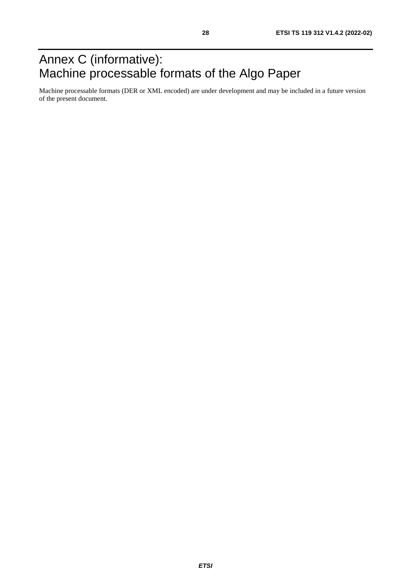## <span id="page-27-0"></span>Annex C (informative): Machine processable formats of the Algo Paper

Machine processable formats (DER or XML encoded) are under development and may be included in a future version of the present document.